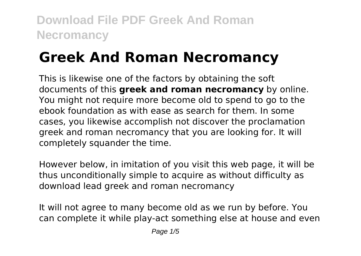# **Greek And Roman Necromancy**

This is likewise one of the factors by obtaining the soft documents of this **greek and roman necromancy** by online. You might not require more become old to spend to go to the ebook foundation as with ease as search for them. In some cases, you likewise accomplish not discover the proclamation greek and roman necromancy that you are looking for. It will completely squander the time.

However below, in imitation of you visit this web page, it will be thus unconditionally simple to acquire as without difficulty as download lead greek and roman necromancy

It will not agree to many become old as we run by before. You can complete it while play-act something else at house and even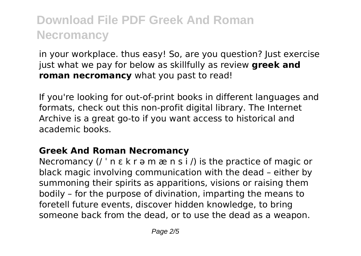in your workplace. thus easy! So, are you question? Just exercise just what we pay for below as skillfully as review **greek and roman necromancy** what you past to read!

If you're looking for out-of-print books in different languages and formats, check out this non-profit digital library. The Internet Archive is a great go-to if you want access to historical and academic books.

#### **Greek And Roman Necromancy**

Necromancy  $\left($  /  $\right)$  n  $\varepsilon$  k r  $\vartheta$  m  $\varpi$  n s i  $\ell$ ) is the practice of magic or black magic involving communication with the dead – either by summoning their spirits as apparitions, visions or raising them bodily – for the purpose of divination, imparting the means to foretell future events, discover hidden knowledge, to bring someone back from the dead, or to use the dead as a weapon.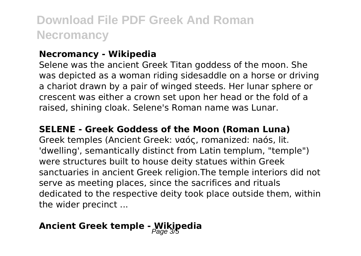#### **Necromancy - Wikipedia**

Selene was the ancient Greek Titan goddess of the moon. She was depicted as a woman riding sidesaddle on a horse or driving a chariot drawn by a pair of winged steeds. Her lunar sphere or crescent was either a crown set upon her head or the fold of a raised, shining cloak. Selene's Roman name was Lunar.

#### **SELENE - Greek Goddess of the Moon (Roman Luna)**

Greek temples (Ancient Greek: ναός, romanized: naós, lit. 'dwelling', semantically distinct from Latin templum, "temple") were structures built to house deity statues within Greek sanctuaries in ancient Greek religion.The temple interiors did not serve as meeting places, since the sacrifices and rituals dedicated to the respective deity took place outside them, within the wider precinct ...

### **Ancient Greek temple - Wikipedia**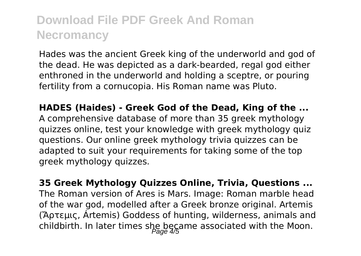Hades was the ancient Greek king of the underworld and god of the dead. He was depicted as a dark-bearded, regal god either enthroned in the underworld and holding a sceptre, or pouring fertility from a cornucopia. His Roman name was Pluto.

**HADES (Haides) - Greek God of the Dead, King of the ...** A comprehensive database of more than 35 greek mythology quizzes online, test your knowledge with greek mythology quiz questions. Our online greek mythology trivia quizzes can be adapted to suit your requirements for taking some of the top greek mythology quizzes.

**35 Greek Mythology Quizzes Online, Trivia, Questions ...** The Roman version of Ares is Mars. Image: Roman marble head of the war god, modelled after a Greek bronze original. Artemis (Ἄρτεμις, Ártemis) Goddess of hunting, wilderness, animals and childbirth. In later times she became associated with the Moon.